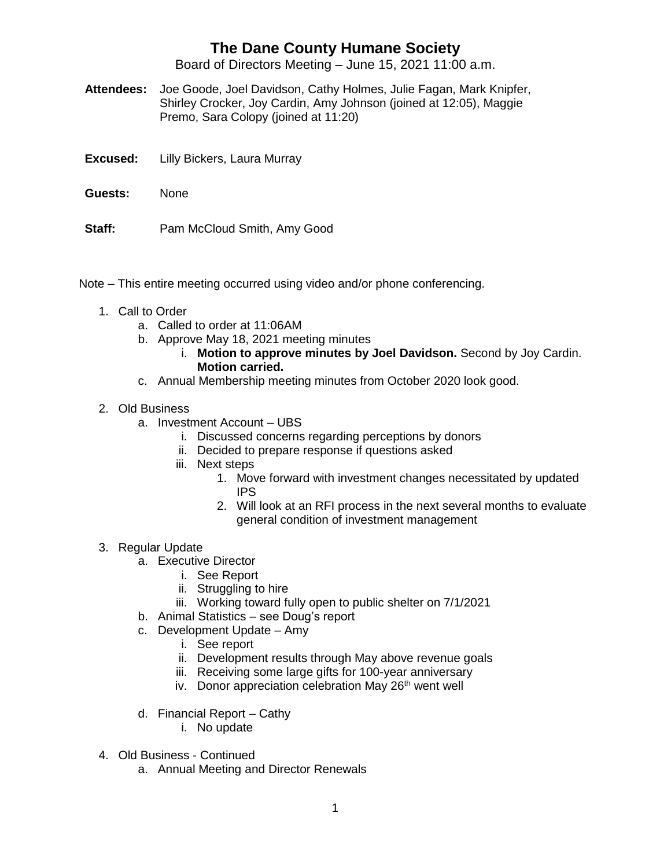## **The Dane County Humane Society**

Board of Directors Meeting – June 15, 2021 11:00 a.m.

- **Attendees:** Joe Goode, Joel Davidson, Cathy Holmes, Julie Fagan, Mark Knipfer, Shirley Crocker, Joy Cardin, Amy Johnson (joined at 12:05), Maggie Premo, Sara Colopy (joined at 11:20)
- **Excused:** Lilly Bickers, Laura Murray
- **Guests:** None
- **Staff:** Pam McCloud Smith, Amy Good

Note – This entire meeting occurred using video and/or phone conferencing.

- 1. Call to Order
	- a. Called to order at 11:06AM
	- b. Approve May 18, 2021 meeting minutes
		- i. **Motion to approve minutes by Joel Davidson.** Second by Joy Cardin. **Motion carried.**
	- c. Annual Membership meeting minutes from October 2020 look good.
- 2. Old Business
	- a. Investment Account UBS
		- i. Discussed concerns regarding perceptions by donors
		- ii. Decided to prepare response if questions asked
		- iii. Next steps
			- 1. Move forward with investment changes necessitated by updated IPS
			- 2. Will look at an RFI process in the next several months to evaluate general condition of investment management
- 3. Regular Update
	- a. Executive Director
		- i. See Report
		- ii. Struggling to hire
		- iii. Working toward fully open to public shelter on 7/1/2021
	- b. Animal Statistics see Doug's report
	- c. Development Update Amy
		- i. See report
		- ii. Development results through May above revenue goals
		- iii. Receiving some large gifts for 100-year anniversary
		- iv. Donor appreciation celebration May  $26<sup>th</sup>$  went well
	- d. Financial Report Cathy
		- i. No update
- 4. Old Business Continued
	- a. Annual Meeting and Director Renewals